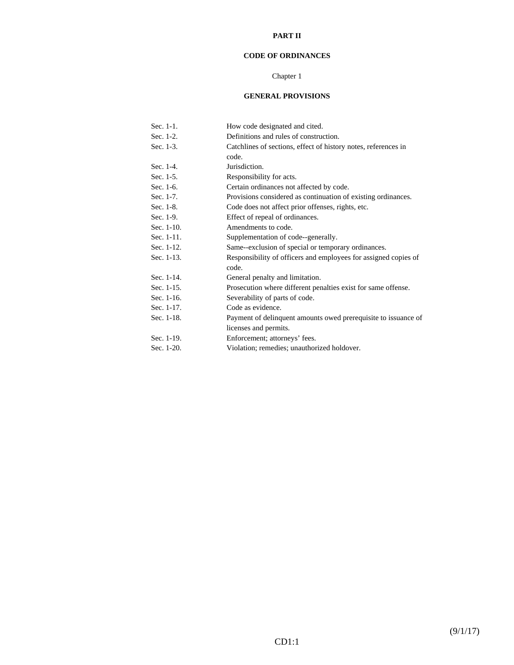#### **PART II**

# **CODE OF ORDINANCES**

# Chapter 1

# **GENERAL PROVISIONS**

| Sec. 1-1.  | How code designated and cited.                                  |
|------------|-----------------------------------------------------------------|
| Sec. 1-2.  | Definitions and rules of construction.                          |
| Sec. 1-3.  | Catchlines of sections, effect of history notes, references in  |
|            | code.                                                           |
| Sec. 1-4.  | Jurisdiction.                                                   |
| Sec. 1-5.  | Responsibility for acts.                                        |
| Sec. 1-6.  | Certain ordinances not affected by code.                        |
| Sec. 1-7.  | Provisions considered as continuation of existing ordinances.   |
| Sec. 1-8.  | Code does not affect prior offenses, rights, etc.               |
| Sec. 1-9.  | Effect of repeal of ordinances.                                 |
| Sec. 1-10. | Amendments to code.                                             |
| Sec. 1-11. | Supplementation of code--generally.                             |
| Sec. 1-12. | Same--exclusion of special or temporary ordinances.             |
| Sec. 1-13. | Responsibility of officers and employees for assigned copies of |
|            | code.                                                           |
| Sec. 1-14. | General penalty and limitation.                                 |
| Sec. 1-15. | Prosecution where different penalties exist for same offense.   |
| Sec. 1-16. | Severability of parts of code.                                  |
| Sec. 1-17. | Code as evidence.                                               |
| Sec. 1-18. | Payment of delinquent amounts owed prerequisite to issuance of  |
|            | licenses and permits.                                           |
| Sec. 1-19. | Enforcement; attorneys' fees.                                   |
| Sec. 1-20. | Violation; remedies; unauthorized holdover.                     |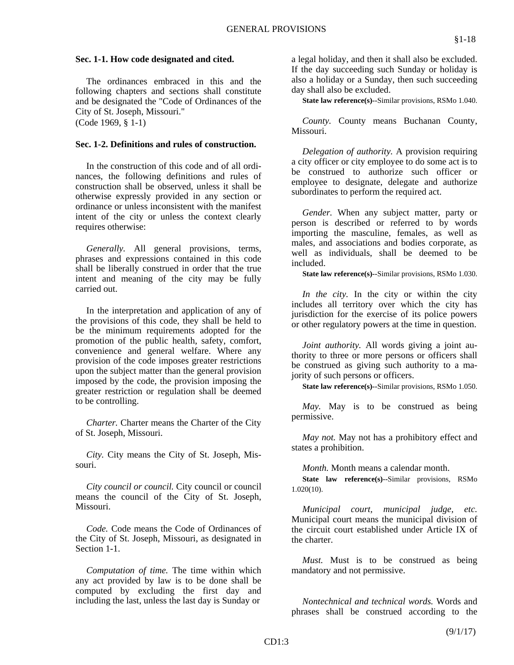#### **Sec. 1-1. How code designated and cited.**

 The ordinances embraced in this and the following chapters and sections shall constitute and be designated the "Code of Ordinances of the City of St. Joseph, Missouri." (Code 1969, § 1-1)

#### **Sec. 1-2. Definitions and rules of construction.**

 In the construction of this code and of all ordinances, the following definitions and rules of construction shall be observed, unless it shall be otherwise expressly provided in any section or ordinance or unless inconsistent with the manifest intent of the city or unless the context clearly requires otherwise:

 *Generally.* All general provisions, terms, phrases and expressions contained in this code shall be liberally construed in order that the true intent and meaning of the city may be fully carried out.

 In the interpretation and application of any of the provisions of this code, they shall be held to be the minimum requirements adopted for the promotion of the public health, safety, comfort, convenience and general welfare. Where any provision of the code imposes greater restrictions upon the subject matter than the general provision imposed by the code, the provision imposing the greater restriction or regulation shall be deemed to be controlling.

 *Charter.* Charter means the Charter of the City of St. Joseph, Missouri.

 *City.* City means the City of St. Joseph, Missouri.

 *City council or council.* City council or council means the council of the City of St. Joseph, Missouri.

 *Code.* Code means the Code of Ordinances of the City of St. Joseph, Missouri, as designated in Section 1-1.

 *Computation of time.* The time within which any act provided by law is to be done shall be computed by excluding the first day and including the last, unless the last day is Sunday or

a legal holiday, and then it shall also be excluded. If the day succeeding such Sunday or holiday is also a holiday or a Sunday, then such succeeding day shall also be excluded.

 **State law reference(s)--**Similar provisions, RSMo 1.040.

 *County.* County means Buchanan County, Missouri.

 *Delegation of authority.* A provision requiring a city officer or city employee to do some act is to be construed to authorize such officer or employee to designate, delegate and authorize subordinates to perform the required act.

 *Gender.* When any subject matter, party or person is described or referred to by words importing the masculine, females, as well as males, and associations and bodies corporate, as well as individuals, shall be deemed to be included.

 **State law reference(s)--**Similar provisions, RSMo 1.030.

 *In the city.* In the city or within the city includes all territory over which the city has jurisdiction for the exercise of its police powers or other regulatory powers at the time in question.

 *Joint authority.* All words giving a joint authority to three or more persons or officers shall be construed as giving such authority to a majority of such persons or officers.

 **State law reference(s)--**Similar provisions, RSMo 1.050.

*May*. May is to be construed as being permissive.

 *May not.* May not has a prohibitory effect and states a prohibition.

 *Month.* Month means a calendar month.

 **State law reference(s)--**Similar provisions, RSMo 1.020(10).

 *Municipal court, municipal judge, etc.* Municipal court means the municipal division of the circuit court established under Article IX of the charter.

*Must.* Must is to be construed as being mandatory and not permissive.

 *Nontechnical and technical words.* Words and phrases shall be construed according to the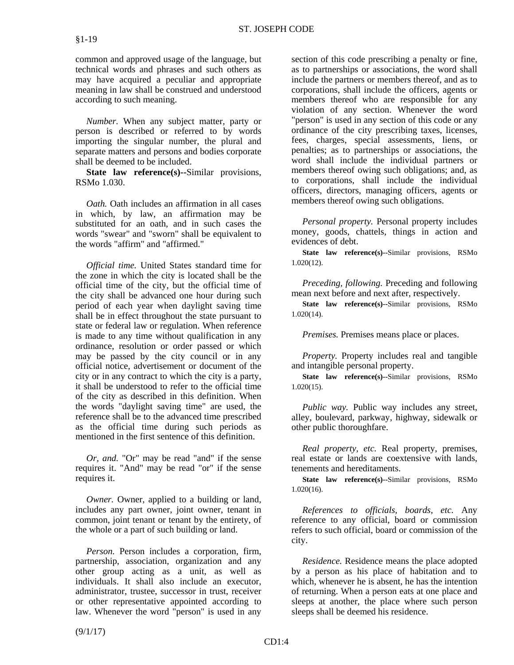common and approved usage of the language, but technical words and phrases and such others as may have acquired a peculiar and appropriate meaning in law shall be construed and understood according to such meaning.

 *Number.* When any subject matter, party or person is described or referred to by words importing the singular number, the plural and separate matters and persons and bodies corporate shall be deemed to be included.

 **State law reference(s)--**Similar provisions, RSMo 1.030.

 *Oath.* Oath includes an affirmation in all cases in which, by law, an affirmation may be substituted for an oath, and in such cases the words "swear" and "sworn" shall be equivalent to the words "affirm" and "affirmed."

 *Official time.* United States standard time for the zone in which the city is located shall be the official time of the city, but the official time of the city shall be advanced one hour during such period of each year when daylight saving time shall be in effect throughout the state pursuant to state or federal law or regulation. When reference is made to any time without qualification in any ordinance, resolution or order passed or which may be passed by the city council or in any official notice, advertisement or document of the city or in any contract to which the city is a party, it shall be understood to refer to the official time of the city as described in this definition. When the words "daylight saving time" are used, the reference shall be to the advanced time prescribed as the official time during such periods as mentioned in the first sentence of this definition.

 *Or, and.* "Or" may be read "and" if the sense requires it. "And" may be read "or" if the sense requires it.

 *Owner.* Owner, applied to a building or land, includes any part owner, joint owner, tenant in common, joint tenant or tenant by the entirety, of the whole or a part of such building or land.

*Person.* Person includes a corporation, firm, partnership, association, organization and any other group acting as a unit, as well as individuals. It shall also include an executor, administrator, trustee, successor in trust, receiver or other representative appointed according to law. Whenever the word "person" is used in any

section of this code prescribing a penalty or fine, as to partnerships or associations, the word shall include the partners or members thereof, and as to corporations, shall include the officers, agents or members thereof who are responsible for any violation of any section. Whenever the word "person" is used in any section of this code or any ordinance of the city prescribing taxes, licenses, fees, charges, special assessments, liens, or penalties; as to partnerships or associations, the word shall include the individual partners or members thereof owing such obligations; and, as to corporations, shall include the individual officers, directors, managing officers, agents or members thereof owing such obligations.

 *Personal property.* Personal property includes money, goods, chattels, things in action and evidences of debt.

 **State law reference(s)--**Similar provisions, RSMo 1.020(12).

 *Preceding, following.* Preceding and following mean next before and next after, respectively.

 **State law reference(s)--**Similar provisions, RSMo 1.020(14).

*Premises.* Premises means place or places.

 *Property.* Property includes real and tangible and intangible personal property.

 **State law reference(s)--**Similar provisions, RSMo 1.020(15).

 *Public way.* Public way includes any street, alley, boulevard, parkway, highway, sidewalk or other public thoroughfare.

 *Real property, etc.* Real property, premises, real estate or lands are coextensive with lands, tenements and hereditaments.

 **State law reference(s)--**Similar provisions, RSMo 1.020(16).

 *References to officials, boards, etc.* Any reference to any official, board or commission refers to such official, board or commission of the city.

 *Residence.* Residence means the place adopted by a person as his place of habitation and to which, whenever he is absent, he has the intention of returning. When a person eats at one place and sleeps at another, the place where such person sleeps shall be deemed his residence.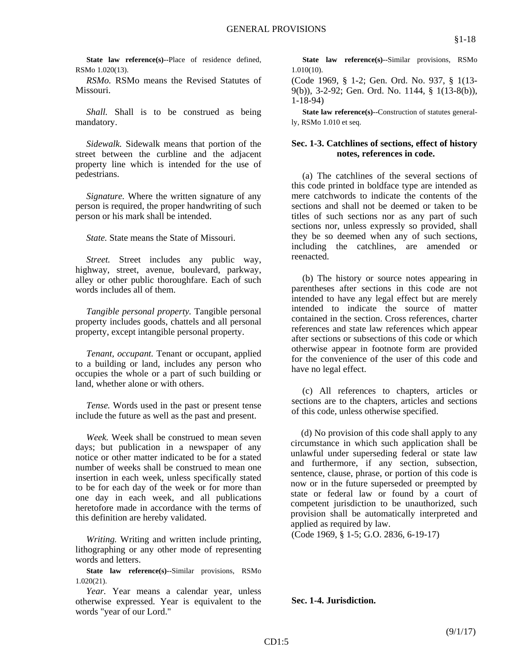**State law reference(s)--Place of residence defined,** RSMo 1.020(13).

 *RSMo.* RSMo means the Revised Statutes of Missouri.

*Shall.* Shall is to be construed as being mandatory.

 *Sidewalk.* Sidewalk means that portion of the street between the curbline and the adjacent property line which is intended for the use of pedestrians.

 *Signature.* Where the written signature of any person is required, the proper handwriting of such person or his mark shall be intended.

 *State.* State means the State of Missouri.

 *Street.* Street includes any public way, highway, street, avenue, boulevard, parkway, alley or other public thoroughfare. Each of such words includes all of them.

 *Tangible personal property.* Tangible personal property includes goods, chattels and all personal property, except intangible personal property.

 *Tenant, occupant.* Tenant or occupant, applied to a building or land, includes any person who occupies the whole or a part of such building or land, whether alone or with others.

 *Tense.* Words used in the past or present tense include the future as well as the past and present.

 *Week.* Week shall be construed to mean seven days; but publication in a newspaper of any notice or other matter indicated to be for a stated number of weeks shall be construed to mean one insertion in each week, unless specifically stated to be for each day of the week or for more than one day in each week, and all publications heretofore made in accordance with the terms of this definition are hereby validated.

 *Writing.* Writing and written include printing, lithographing or any other mode of representing words and letters.

 **State law reference(s)--**Similar provisions, RSMo 1.020(21).

 *Year.* Year means a calendar year, unless otherwise expressed. Year is equivalent to the words "year of our Lord."

 **State law reference(s)--**Similar provisions, RSMo 1.010(10).

(Code 1969, § 1-2; Gen. Ord. No. 937, § 1(13- 9(b)), 3-2-92; Gen. Ord. No. 1144, § 1(13-8(b)), 1-18-94)

**State law reference(s)--Construction of statutes general**ly, RSMo 1.010 et seq.

## **Sec. 1-3. Catchlines of sections, effect of history notes, references in code.**

 (a) The catchlines of the several sections of this code printed in boldface type are intended as mere catchwords to indicate the contents of the sections and shall not be deemed or taken to be titles of such sections nor as any part of such sections nor, unless expressly so provided, shall they be so deemed when any of such sections, including the catchlines, are amended or reenacted.

 (b) The history or source notes appearing in parentheses after sections in this code are not intended to have any legal effect but are merely intended to indicate the source of matter contained in the section. Cross references, charter references and state law references which appear after sections or subsections of this code or which otherwise appear in footnote form are provided for the convenience of the user of this code and have no legal effect.

 (c) All references to chapters, articles or sections are to the chapters, articles and sections of this code, unless otherwise specified.

 (d) No provision of this code shall apply to any circumstance in which such application shall be unlawful under superseding federal or state law and furthermore, if any section, subsection, sentence, clause, phrase, or portion of this code is now or in the future superseded or preempted by state or federal law or found by a court of competent jurisdiction to be unauthorized, such provision shall be automatically interpreted and applied as required by law.

(Code 1969, § 1-5; G.O. 2836, 6-19-17)

## **Sec. 1-4. Jurisdiction.**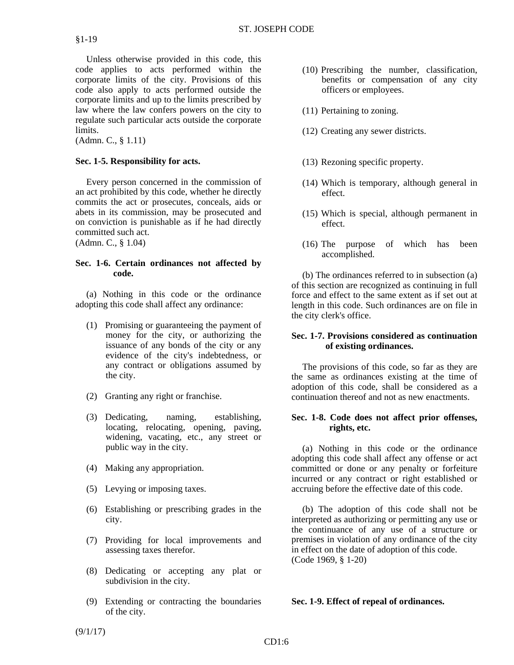Unless otherwise provided in this code, this code applies to acts performed within the corporate limits of the city. Provisions of this code also apply to acts performed outside the corporate limits and up to the limits prescribed by law where the law confers powers on the city to regulate such particular acts outside the corporate limits.

(Admn. C., § 1.11)

# **Sec. 1-5. Responsibility for acts.**

 Every person concerned in the commission of an act prohibited by this code, whether he directly commits the act or prosecutes, conceals, aids or abets in its commission, may be prosecuted and on conviction is punishable as if he had directly committed such act. (Admn. C., § 1.04)

## **Sec. 1-6. Certain ordinances not affected by code.**

 (a) Nothing in this code or the ordinance adopting this code shall affect any ordinance:

- (1) Promising or guaranteeing the payment of money for the city, or authorizing the issuance of any bonds of the city or any evidence of the city's indebtedness, or any contract or obligations assumed by the city.
- (2) Granting any right or franchise.
- (3) Dedicating, naming, establishing, locating, relocating, opening, paving, widening, vacating, etc., any street or public way in the city.
- (4) Making any appropriation.
- (5) Levying or imposing taxes.
- (6) Establishing or prescribing grades in the city.
- (7) Providing for local improvements and assessing taxes therefor.
- (8) Dedicating or accepting any plat or subdivision in the city.
- (9) Extending or contracting the boundaries of the city.
- (10) Prescribing the number, classification, benefits or compensation of any city officers or employees.
- (11) Pertaining to zoning.
- (12) Creating any sewer districts.
- (13) Rezoning specific property.
- (14) Which is temporary, although general in effect.
- (15) Which is special, although permanent in effect.
- (16) The purpose of which has been accomplished.

 (b) The ordinances referred to in subsection (a) of this section are recognized as continuing in full force and effect to the same extent as if set out at length in this code. Such ordinances are on file in the city clerk's office.

## **Sec. 1-7. Provisions considered as continuation of existing ordinances.**

 The provisions of this code, so far as they are the same as ordinances existing at the time of adoption of this code, shall be considered as a continuation thereof and not as new enactments.

## **Sec. 1-8. Code does not affect prior offenses, rights, etc.**

 (a) Nothing in this code or the ordinance adopting this code shall affect any offense or act committed or done or any penalty or forfeiture incurred or any contract or right established or accruing before the effective date of this code.

 (b) The adoption of this code shall not be interpreted as authorizing or permitting any use or the continuance of any use of a structure or premises in violation of any ordinance of the city in effect on the date of adoption of this code. (Code 1969, § 1-20)

## **Sec. 1-9. Effect of repeal of ordinances.**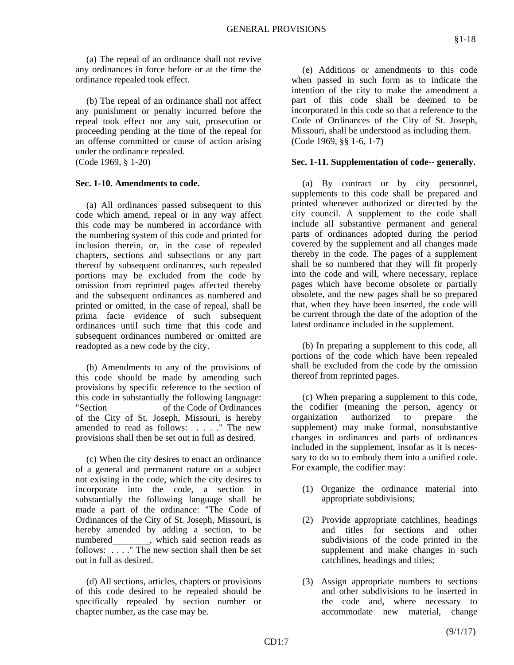(a) The repeal of an ordinance shall not revive any ordinances in force before or at the time the ordinance repealed took effect.

 (b) The repeal of an ordinance shall not affect any punishment or penalty incurred before the repeal took effect nor any suit, prosecution or proceeding pending at the time of the repeal for an offense committed or cause of action arising under the ordinance repealed. (Code 1969, § 1-20)

#### **Sec. 1-10. Amendments to code.**

 (a) All ordinances passed subsequent to this code which amend, repeal or in any way affect this code may be numbered in accordance with the numbering system of this code and printed for inclusion therein, or, in the case of repealed chapters, sections and subsections or any part thereof by subsequent ordinances, such repealed portions may be excluded from the code by omission from reprinted pages affected thereby and the subsequent ordinances as numbered and printed or omitted, in the case of repeal, shall be prima facie evidence of such subsequent ordinances until such time that this code and subsequent ordinances numbered or omitted are readopted as a new code by the city.

 (b) Amendments to any of the provisions of this code should be made by amending such provisions by specific reference to the section of this code in substantially the following language: "Section of the Code of Ordinances of the City of St. Joseph, Missouri, is hereby amended to read as follows: . . . ." The new provisions shall then be set out in full as desired.

 (c) When the city desires to enact an ordinance of a general and permanent nature on a subject not existing in the code, which the city desires to incorporate into the code, a section in substantially the following language shall be made a part of the ordinance: "The Code of Ordinances of the City of St. Joseph, Missouri, is hereby amended by adding a section, to be numbered \_\_\_\_\_\_\_\_, which said section reads as follows: . . . ." The new section shall then be set out in full as desired.

 (d) All sections, articles, chapters or provisions of this code desired to be repealed should be specifically repealed by section number or chapter number, as the case may be.

 (e) Additions or amendments to this code when passed in such form as to indicate the intention of the city to make the amendment a part of this code shall be deemed to be incorporated in this code so that a reference to the Code of Ordinances of the City of St. Joseph, Missouri, shall be understood as including them. (Code 1969, §§ 1-6, 1-7)

#### **Sec. 1-11. Supplementation of code-- generally.**

 (a) By contract or by city personnel, supplements to this code shall be prepared and printed whenever authorized or directed by the city council. A supplement to the code shall include all substantive permanent and general parts of ordinances adopted during the period covered by the supplement and all changes made thereby in the code. The pages of a supplement shall be so numbered that they will fit properly into the code and will, where necessary, replace pages which have become obsolete or partially obsolete, and the new pages shall be so prepared that, when they have been inserted, the code will be current through the date of the adoption of the latest ordinance included in the supplement.

 (b) In preparing a supplement to this code, all portions of the code which have been repealed shall be excluded from the code by the omission thereof from reprinted pages.

 (c) When preparing a supplement to this code, the codifier (meaning the person, agency or organization authorized to prepare the supplement) may make formal, nonsubstantive changes in ordinances and parts of ordinances included in the supplement, insofar as it is necessary to do so to embody them into a unified code. For example, the codifier may:

- (1) Organize the ordinance material into appropriate subdivisions;
- (2) Provide appropriate catchlines, headings and titles for sections and other subdivisions of the code printed in the supplement and make changes in such catchlines, headings and titles;
- (3) Assign appropriate numbers to sections and other subdivisions to be inserted in the code and, where necessary to accommodate new material, change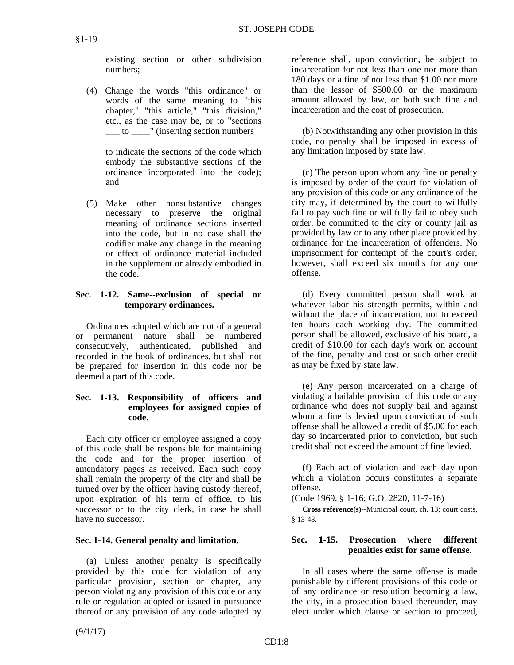existing section or other subdivision numbers;

 (4) Change the words "this ordinance" or words of the same meaning to "this chapter," "this article," "this division," etc., as the case may be, or to "sections \_\_\_ to \_\_\_\_" (inserting section numbers

> to indicate the sections of the code which embody the substantive sections of the ordinance incorporated into the code); and

 (5) Make other nonsubstantive changes necessary to preserve the original meaning of ordinance sections inserted into the code, but in no case shall the codifier make any change in the meaning or effect of ordinance material included in the supplement or already embodied in the code.

# **Sec. 1-12. Same--exclusion of special or temporary ordinances.**

 Ordinances adopted which are not of a general or permanent nature shall be numbered consecutively, authenticated, published and recorded in the book of ordinances, but shall not be prepared for insertion in this code nor be deemed a part of this code.

# **Sec. 1-13. Responsibility of officers and employees for assigned copies of code.**

 Each city officer or employee assigned a copy of this code shall be responsible for maintaining the code and for the proper insertion of amendatory pages as received. Each such copy shall remain the property of the city and shall be turned over by the officer having custody thereof, upon expiration of his term of office, to his successor or to the city clerk, in case he shall have no successor.

# **Sec. 1-14. General penalty and limitation.**

 (a) Unless another penalty is specifically provided by this code for violation of any particular provision, section or chapter, any person violating any provision of this code or any rule or regulation adopted or issued in pursuance thereof or any provision of any code adopted by

reference shall, upon conviction, be subject to incarceration for not less than one nor more than 180 days or a fine of not less than \$1.00 nor more than the lessor of \$500.00 or the maximum amount allowed by law, or both such fine and incarceration and the cost of prosecution.

 (b) Notwithstanding any other provision in this code, no penalty shall be imposed in excess of any limitation imposed by state law.

 (c) The person upon whom any fine or penalty is imposed by order of the court for violation of any provision of this code or any ordinance of the city may, if determined by the court to willfully fail to pay such fine or willfully fail to obey such order, be committed to the city or county jail as provided by law or to any other place provided by ordinance for the incarceration of offenders. No imprisonment for contempt of the court's order, however, shall exceed six months for any one offense.

 (d) Every committed person shall work at whatever labor his strength permits, within and without the place of incarceration, not to exceed ten hours each working day. The committed person shall be allowed, exclusive of his board, a credit of \$10.00 for each day's work on account of the fine, penalty and cost or such other credit as may be fixed by state law.

 (e) Any person incarcerated on a charge of violating a bailable provision of this code or any ordinance who does not supply bail and against whom a fine is levied upon conviction of such offense shall be allowed a credit of \$5.00 for each day so incarcerated prior to conviction, but such credit shall not exceed the amount of fine levied.

 (f) Each act of violation and each day upon which a violation occurs constitutes a separate offense.

(Code 1969, § 1-16; G.O. 2820, 11-7-16)

 **Cross reference(s)--**Municipal court, ch. 13; court costs, § 13-48.

# **Sec. 1-15. Prosecution where different penalties exist for same offense.**

 In all cases where the same offense is made punishable by different provisions of this code or of any ordinance or resolution becoming a law, the city, in a prosecution based thereunder, may elect under which clause or section to proceed,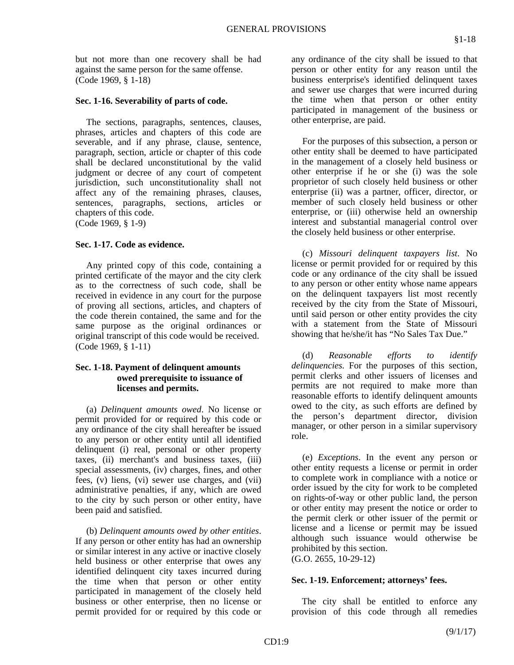but not more than one recovery shall be had against the same person for the same offense. (Code 1969, § 1-18)

## **Sec. 1-16. Severability of parts of code.**

 The sections, paragraphs, sentences, clauses, phrases, articles and chapters of this code are severable, and if any phrase, clause, sentence, paragraph, section, article or chapter of this code shall be declared unconstitutional by the valid judgment or decree of any court of competent jurisdiction, such unconstitutionality shall not affect any of the remaining phrases, clauses, sentences, paragraphs, sections, articles or chapters of this code. (Code 1969, § 1-9)

## **Sec. 1-17. Code as evidence.**

 Any printed copy of this code, containing a printed certificate of the mayor and the city clerk as to the correctness of such code, shall be received in evidence in any court for the purpose of proving all sections, articles, and chapters of the code therein contained, the same and for the same purpose as the original ordinances or original transcript of this code would be received. (Code 1969, § 1-11)

## **Sec. 1-18. Payment of delinquent amounts owed prerequisite to issuance of licenses and permits.**

 (a) *Delinquent amounts owed*. No license or permit provided for or required by this code or any ordinance of the city shall hereafter be issued to any person or other entity until all identified delinquent (i) real, personal or other property taxes, (ii) merchant's and business taxes, (iii) special assessments, (iv) charges, fines, and other fees, (v) liens, (vi) sewer use charges, and (vii) administrative penalties, if any, which are owed to the city by such person or other entity, have been paid and satisfied.

 (b) *Delinquent amounts owed by other entities*. If any person or other entity has had an ownership or similar interest in any active or inactive closely held business or other enterprise that owes any identified delinquent city taxes incurred during the time when that person or other entity participated in management of the closely held business or other enterprise, then no license or permit provided for or required by this code or any ordinance of the city shall be issued to that person or other entity for any reason until the business enterprise's identified delinquent taxes and sewer use charges that were incurred during the time when that person or other entity participated in management of the business or other enterprise, are paid.

 For the purposes of this subsection, a person or other entity shall be deemed to have participated in the management of a closely held business or other enterprise if he or she (i) was the sole proprietor of such closely held business or other enterprise (ii) was a partner, officer, director, or member of such closely held business or other enterprise, or (iii) otherwise held an ownership interest and substantial managerial control over the closely held business or other enterprise.

 (c) *Missouri delinquent taxpayers list*. No license or permit provided for or required by this code or any ordinance of the city shall be issued to any person or other entity whose name appears on the delinquent taxpayers list most recently received by the city from the State of Missouri, until said person or other entity provides the city with a statement from the State of Missouri showing that he/she/it has "No Sales Tax Due."

 (d) *Reasonable efforts to identify delinquencies.* For the purposes of this section, permit clerks and other issuers of licenses and permits are not required to make more than reasonable efforts to identify delinquent amounts owed to the city, as such efforts are defined by the person's department director, division manager, or other person in a similar supervisory role.

 (e) *Exceptions*. In the event any person or other entity requests a license or permit in order to complete work in compliance with a notice or order issued by the city for work to be completed on rights-of-way or other public land, the person or other entity may present the notice or order to the permit clerk or other issuer of the permit or license and a license or permit may be issued although such issuance would otherwise be prohibited by this section.

(G.O. 2655, 10-29-12)

#### **Sec. 1-19. Enforcement; attorneys' fees.**

 The city shall be entitled to enforce any provision of this code through all remedies